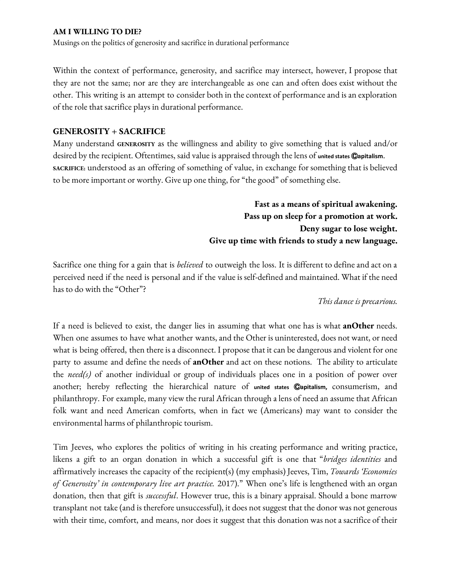Musings on the politics of generosity and sacrifice in durational performance

Within the context of performance, generosity, and sacrifice may intersect, however, I propose that they are not the same; nor are they are interchangeable as one can and often does exist without the other. This writing is an attempt to consider both in the context of performance and is an exploration of the role that sacrifice plays in durational performance.

### **GENEROSITY + SACRIFICE**

Many understand **GENEROSITY** as the willingness and ability to give something that is valued and/or desired by the recipient. Oftentimes, said value is appraised through the lens of **united states** Ⓒ**apitalism**. **SACRIFICE:** understood as an offering of something of value, in exchange for something that is believed to be more important or worthy. Give up one thing, for "the good" of something else.

> **Fast as a means of spiritual awakening. Pass up on sleep for a promotion at work. Deny sugar to lose weight. Give up time with friends to study a new language.**

Sacrifice one thing for a gain that is *believed* to outweigh the loss. It is different to define and act on a perceived need if the need is personal and if the value is self-defined and maintained. What if the need has to do with the "Other"?

#### *This dance is precarious.*

If a need is believed to exist, the danger lies in assuming that what one has is what **anOther** needs. When one assumes to have what another wants, and the Other is uninterested, does not want, or need what is being offered, then there is a disconnect. I propose that it can be dangerous and violent for one party to assume and define the needs of **anOther** and act on these notions. The ability to articulate the *need(s)* of another individual or group of individuals places one in a position of power over another; hereby reflecting the hierarchical nature of **united states** Ⓒ**apitalism,** consumerism, and philanthropy. For example, many view the rural African through alens of need an assume that African folk want and need American comforts, when in fact we (Americans) may want to consider the environmental harms of philanthropic tourism.

Tim Jeeves, who explores the politics of writing in his creating performance and writing practice, likens a gift to an organ donation in which a successful gift is one that "*bridges identities* and affirmatively increases the capacity of the recipient(s) (my emphasis) Jeeves, Tim, *Towards 'Economies of Generosity' in contemporary live art practice.* 2017)." When one's life is lengthened with an organ donation, then that gift is *successful*. However true, this is a binary appraisal. Should a bone marrow transplant not take (and is therefore unsuccessful), it does not suggest that the donor was not generous with their time, comfort, and means, nor does it suggest that this donation was not a sacrifice of their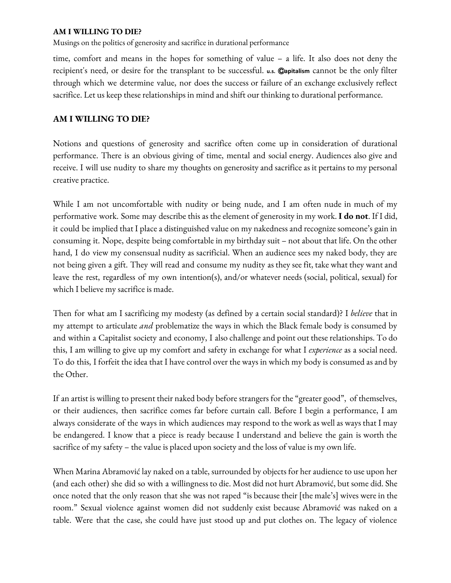Musings on the politics of generosity and sacrifice in durational performance

time, comfort and means in the hopes for something of value – a life. It also does not deny the recipient's need, or desire for the transplant to be successful. **u.s.** Ⓒ**apitalism** cannot be the only filter through which we determine value, nor does the success or failure of an exchange exclusively reflect sacrifice. Let us keep these relationships in mind and shift our thinking to durational performance.

## **AM I WILLING TO DIE?**

Notions and questions of generosity and sacrifice often come up in consideration of durational performance. There is an obvious giving of time, mental and social energy. Audiences also give and receive. I will use nudity to share my thoughts on generosity and sacrifice as it pertains to my personal creative practice.

While I am not uncomfortable with nudity or being nude, and I am often nude in much of my performative work. Some may describe thisas the element of generosity in my work. **I do not**. If I did, it could be implied that I place a distinguished value on my nakedness and recognize someone's gain in consuming it. Nope, despite being comfortable in my birthday suit – notabout that life. On the other hand, I do view my consensual nudity as sacrificial. When an audience sees my naked body, they are not being given a gift. They will read and consume my nudity as they see fit, take what they want and leave the rest, regardless of my own intention(s), and/or whatever needs (social, political, sexual) for which I believe my sacrifice is made.

Then for what am I sacrificing my modesty (as defined by a certain social standard)? I *believe* that in my attempt to articulate *and* problematize the ways in which the Black female body is consumed by and within a Capitalist society and economy, I also challengeand point out these relationships. To do this, I am willing to give up my comfort and safety in exchange for what I *experience* as a social need. To do this, I forfeit the idea that I have control over the ways in which my body is consumed as and by the Other.

If an artist is willing to present their naked body before strangers for the "greater good", of themselves, or their audiences, then sacrifice comes far before curtain call. Before I begin a performance, I am always considerate of the ways in which audiences may respond to the work as well as ways that I may be endangered. I know that a piece is ready because I understand and believe the gain is worth the sacrifice of my safety – the value is placed upon society and the loss of value is my own life.

When Marina Abramović lay naked on a table, surrounded by objects for her audience to use upon her (and each other) she did so with a willingness to die. Most did not hurt Abramović, but some did. She once noted that the only reason that she was not raped "is because their [the male's] wives were in the room." Sexual violence against women did not suddenly exist because Abramović was naked on a table. Were that the case, she could have just stood up and put clothes on. The legacy of violence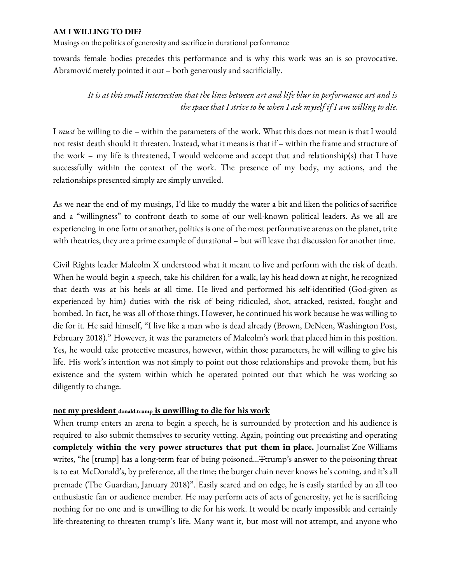Musings on the politics of generosity and sacrifice in durational performance

towards female bodies precedes this performance and is why this work was an is so provocative. Abramović merely pointed it out – both generously and sacrificially.

# It is at this small intersection that the lines between art and life blur in performance art and is *the space that I strive to be when I ask myself if I am willing to die.*

I *must* be willing to die – within the parameters of the work. What this does not mean is that I would not resist death should it threaten. Instead, what it means is that if - within the frame and structure of the work – my life is threatened, I would welcome and accept that and relationship(s) that I have successfully within the context of the work. The presence of my body, my actions, and the relationships presented simply are simply unveiled.

As we near the end of my musings, I'd like to muddy the water a bit and liken the politics of sacrifice and a "willingness" to confront death to some of our well-known political leaders. As we all are experiencing in one form or another, politics is one of the most performative arenas on the planet, trite with theatrics, they are a prime example of durational – but will leave that discussion for another time.

Civil Rights leader Malcolm X understood what it meant to live and perform with the risk of death. When he would begin a speech, take his children for a walk, lay his head down at night, he recognized that death was at his heels at all time. He lived and performed his self-identified (God-given as experienced by him) duties with the risk of being ridiculed, shot, attacked, resisted, fought and bombed. In fact, he was all of those things. However, he continued his work because he was willing to die for it. He said himself, "I live like a man who is dead already (Brown, DeNeen, Washington Post, February 2018)." However, it was the parameters of Malcolm's work that placed him in this position. Yes, he would take protective measures, however, within those parameters, he will willing to give his life. His work's intention was not simply to point out those relationships and provoke them, but his existence and the system within which he operated pointed out that which he was working so diligently to change.

### **not my president donald trump is unwilling to die for his work**

When trump enters an arena to begin a speech, he is surrounded by protection and his audience is required to also submit themselves to security vetting. Again, pointing out preexisting and operating **completely within the very power structures that put them in place.** Journalist Zoe Williams writes, "he [trump] has a long-term fear of being poisoned...Ttrump's answer to the poisoning threat is to eat McDonald's, by preference, all the time; the burger chain never knows he's coming, and it's all premade (The Guardian, January 2018)". Easily scared and on edge, he is easily startled by an all too enthusiastic fan or audience member. He may perform acts of acts of generosity, yet he is sacrificing nothing for no one and is unwilling to die for his work. It would be nearly impossible and certainly life-threatening to threaten trump's life. Many want it, but most will not attempt, and anyone who